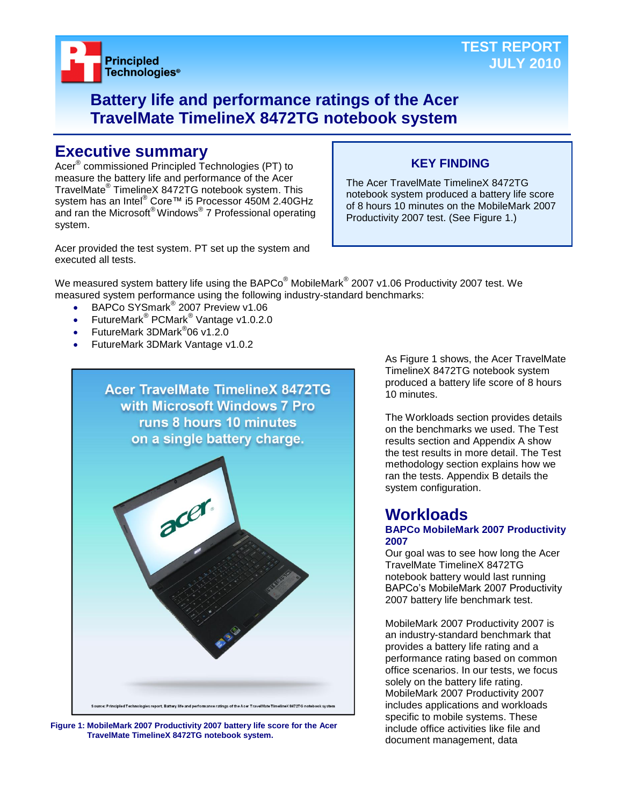

## **Battery life and performance ratings of the Acer TravelMate TimelineX 8472TG notebook system**

## **Executive summary**

Acer® commissioned Principled Technologies (PT) to measure the battery life and performance of the Acer TravelMate® TimelineX 8472TG notebook system. This system has an Intel® Core™ i5 Processor 450M 2.40GHz and ran the Microsoft® Windows® 7 Professional operating system.

Acer provided the test system. PT set up the system and executed all tests.

## **KEY FINDING**

The Acer TravelMate TimelineX 8472TG notebook system produced a battery life score of 8 hours 10 minutes on the MobileMark 2007 Productivity 2007 test. (See Figure 1.)

We measured system battery life using the BAPCo $^\circ$  MobileMark $^\circ$  2007 v1.06 Productivity 2007 test. We measured system performance using the following industry-standard benchmarks:

- BAPCo SYSmark<sup>®</sup> 2007 Preview v1.06
- FutureMark<sup>®</sup> PCMark<sup>®</sup> Vantage v1.0.2.0
- FutureMark 3DMark<sup>®</sup>06 v1.2.0
- FutureMark 3DMark Vantage v1.0.2



**Figure 1: MobileMark 2007 Productivity 2007 battery life score for the Acer TravelMate TimelineX 8472TG notebook system.**

As Figure 1 shows, the Acer TravelMate TimelineX 8472TG notebook system produced a battery life score of 8 hours 10 minutes.

The Workloads section provides details on the benchmarks we used. The Test results section and Appendix A show the test results in more detail. The Test methodology section explains how we ran the tests. Appendix B details the system configuration.

## **Workloads**

#### **BAPCo MobileMark 2007 Productivity 2007**

Our goal was to see how long the Acer TravelMate TimelineX 8472TG notebook battery would last running BAPCo's MobileMark 2007 Productivity 2007 battery life benchmark test.

MobileMark 2007 Productivity 2007 is an industry-standard benchmark that provides a battery life rating and a performance rating based on common office scenarios. In our tests, we focus solely on the battery life rating. MobileMark 2007 Productivity 2007 includes applications and workloads specific to mobile systems. These include office activities like file and document management, data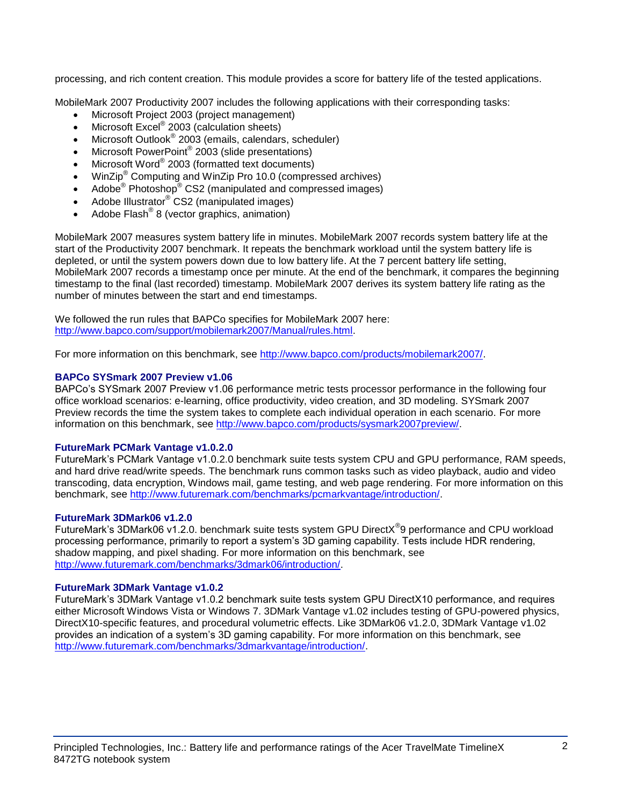processing, and rich content creation. This module provides a score for battery life of the tested applications.

MobileMark 2007 Productivity 2007 includes the following applications with their corresponding tasks:

- Microsoft Project 2003 (project management)
- $\bullet$  Microsoft Excel® 2003 (calculation sheets)
- Microsoft Outlook<sup>®</sup> 2003 (emails, calendars, scheduler)
- Microsoft PowerPoint® 2003 (slide presentations)
- Microsoft Word® 2003 (formatted text documents)
- WinZip® Computing and WinZip Pro 10.0 (compressed archives)
- Adobe<sup>®</sup> Photoshop<sup>®</sup> CS2 (manipulated and compressed images)
- Adobe Illustrator® CS2 (manipulated images)
- $\bullet$  Adobe Flash<sup>®</sup> 8 (vector graphics, animation)

MobileMark 2007 measures system battery life in minutes. MobileMark 2007 records system battery life at the start of the Productivity 2007 benchmark. It repeats the benchmark workload until the system battery life is depleted, or until the system powers down due to low battery life. At the 7 percent battery life setting, MobileMark 2007 records a timestamp once per minute. At the end of the benchmark, it compares the beginning timestamp to the final (last recorded) timestamp. MobileMark 2007 derives its system battery life rating as the number of minutes between the start and end timestamps.

We followed the run rules that BAPCo specifies for MobileMark 2007 here: [http://www.bapco.com/support/mobilemark2007/Manual/rules.html.](http://www.bapco.com/support/mobilemark2007/Manual/rules.html)

For more information on this benchmark, see [http://www.bapco.com/products/mobilemark2007/.](http://www.bapco.com/products/mobilemark2007/)

## **BAPCo SYSmark 2007 Preview v1.06**

BAPCo's SYSmark 2007 Preview v1.06 performance metric tests processor performance in the following four office workload scenarios: e-learning, office productivity, video creation, and 3D modeling. SYSmark 2007 Preview records the time the system takes to complete each individual operation in each scenario. For more information on this benchmark, see [http://www.bapco.com/products/sysmark2007preview/.](http://www.bapco.com/products/sysmark2007preview/)

## **FutureMark PCMark Vantage v1.0.2.0**

FutureMark's PCMark Vantage v1.0.2.0 benchmark suite tests system CPU and GPU performance, RAM speeds, and hard drive read/write speeds. The benchmark runs common tasks such as video playback, audio and video transcoding, data encryption, Windows mail, game testing, and web page rendering. For more information on this benchmark, see [http://www.futuremark.com/benchmarks/pcmarkvantage/introduction/.](http://www.futuremark.com/benchmarks/pcmarkvantage/introduction/)

## **FutureMark 3DMark06 v1.2.0**

FutureMark's 3DMark06 v1.2.0. benchmark suite tests system GPU DirectX<sup>®</sup>9 performance and CPU workload processing performance, primarily to report a system's 3D gaming capability. Tests include HDR rendering, shadow mapping, and pixel shading. For more information on this benchmark, see [http://www.futuremark.com/benchmarks/3dmark06/introduction/.](http://www.futuremark.com/benchmarks/3dmark06/introduction/)

## **FutureMark 3DMark Vantage v1.0.2**

FutureMark's 3DMark Vantage v1.0.2 benchmark suite tests system GPU DirectX10 performance, and requires either Microsoft Windows Vista or Windows 7. 3DMark Vantage v1.02 includes testing of GPU-powered physics, DirectX10-specific features, and procedural volumetric effects. Like 3DMark06 v1.2.0, 3DMark Vantage v1.02 provides an indication of a system's 3D gaming capability. For more information on this benchmark, see [http://www.futuremark.com/benchmarks/3dmarkvantage/introduction/.](http://www.futuremark.com/benchmarks/3dmarkvantage/introduction/)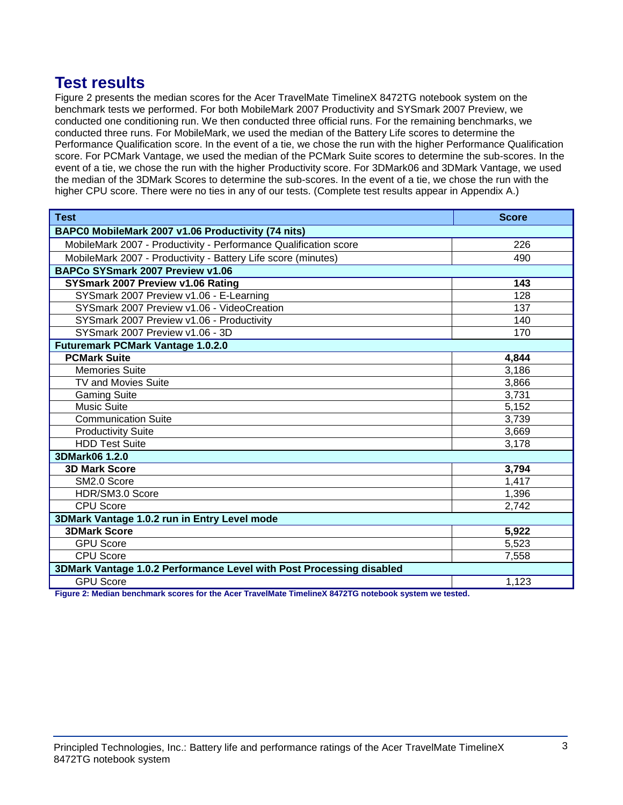## **Test results**

Figure 2 presents the median scores for the Acer TravelMate TimelineX 8472TG notebook system on the benchmark tests we performed. For both MobileMark 2007 Productivity and SYSmark 2007 Preview, we conducted one conditioning run. We then conducted three official runs. For the remaining benchmarks, we conducted three runs. For MobileMark, we used the median of the Battery Life scores to determine the Performance Qualification score. In the event of a tie, we chose the run with the higher Performance Qualification score. For PCMark Vantage, we used the median of the PCMark Suite scores to determine the sub-scores. In the event of a tie, we chose the run with the higher Productivity score. For 3DMark06 and 3DMark Vantage, we used the median of the 3DMark Scores to determine the sub-scores. In the event of a tie, we chose the run with the higher CPU score. There were no ties in any of our tests. (Complete test results appear in Appendix A.)

| <b>Test</b>                                                                                                                                                                           | <b>Score</b> |  |
|---------------------------------------------------------------------------------------------------------------------------------------------------------------------------------------|--------------|--|
| BAPC0 MobileMark 2007 v1.06 Productivity (74 nits)                                                                                                                                    |              |  |
| MobileMark 2007 - Productivity - Performance Qualification score                                                                                                                      | 226          |  |
| MobileMark 2007 - Productivity - Battery Life score (minutes)                                                                                                                         | 490          |  |
| BAPCo SYSmark 2007 Preview v1.06                                                                                                                                                      |              |  |
| SYSmark 2007 Preview v1.06 Rating                                                                                                                                                     | 143          |  |
| SYSmark 2007 Preview v1.06 - E-Learning                                                                                                                                               | 128          |  |
| SYSmark 2007 Preview v1.06 - VideoCreation                                                                                                                                            | 137          |  |
| SYSmark 2007 Preview v1.06 - Productivity                                                                                                                                             | 140          |  |
| SYSmark 2007 Preview v1.06 - 3D                                                                                                                                                       | 170          |  |
| <b>Futuremark PCMark Vantage 1.0.2.0</b>                                                                                                                                              |              |  |
| <b>PCMark Suite</b>                                                                                                                                                                   | 4,844        |  |
| <b>Memories Suite</b>                                                                                                                                                                 | 3,186        |  |
| <b>TV and Movies Suite</b>                                                                                                                                                            | 3,866        |  |
| <b>Gaming Suite</b>                                                                                                                                                                   | 3,731        |  |
| <b>Music Suite</b>                                                                                                                                                                    | 5,152        |  |
| <b>Communication Suite</b>                                                                                                                                                            | 3,739        |  |
| <b>Productivity Suite</b>                                                                                                                                                             | 3,669        |  |
| <b>HDD Test Suite</b>                                                                                                                                                                 | 3,178        |  |
| 3DMark06 1.2.0                                                                                                                                                                        |              |  |
| <b>3D Mark Score</b>                                                                                                                                                                  | 3,794        |  |
| SM2.0 Score                                                                                                                                                                           | 1,417        |  |
| HDR/SM3.0 Score                                                                                                                                                                       | 1,396        |  |
| <b>CPU Score</b>                                                                                                                                                                      | 2,742        |  |
| 3DMark Vantage 1.0.2 run in Entry Level mode                                                                                                                                          |              |  |
| <b>3DMark Score</b>                                                                                                                                                                   | 5,922        |  |
| <b>GPU Score</b>                                                                                                                                                                      | 5,523        |  |
| <b>CPU Score</b>                                                                                                                                                                      | 7,558        |  |
| 3DMark Vantage 1.0.2 Performance Level with Post Processing disabled                                                                                                                  |              |  |
| <b>GPU Score</b><br>- エー・・・・ はんしょう エリー・・ けっこうい ハイラウエウ<br><b>Photography Control Advisory Inc.</b><br>$\mathbf{r}$ and $\mathbf{r}$ and $\mathbf{r}$ and $\mathbf{r}$ and $\mathbf{r}$ | 1,123        |  |

**Figure 2: Median benchmark scores for the Acer TravelMate TimelineX 8472TG notebook system we tested.**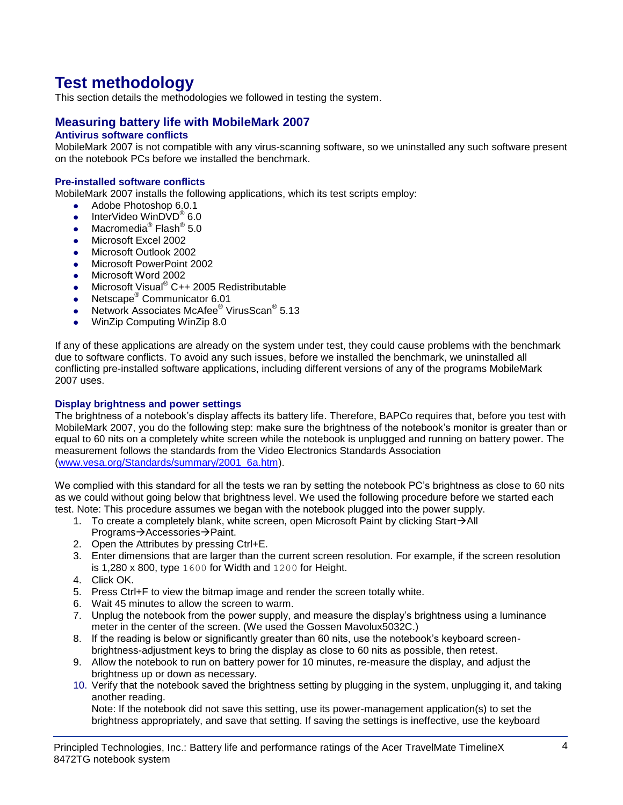# **Test methodology**

This section details the methodologies we followed in testing the system.

## **Measuring battery life with MobileMark 2007**

## **Antivirus software conflicts**

MobileMark 2007 is not compatible with any virus-scanning software, so we uninstalled any such software present on the notebook PCs before we installed the benchmark.

## **Pre-installed software conflicts**

MobileMark 2007 installs the following applications, which its test scripts employ:

- Adobe Photoshop 6.0.1
- InterVideo WinDVD $^{\circ}$  6.0
- Macromedia® Flash® 5.0
- Microsoft Excel 2002
- Microsoft Outlook 2002
- **Microsoft PowerPoint 2002**
- Microsoft Word 2002
- Microsoft Visual<sup>®</sup> C++ 2005 Redistributable
- Netscape<sup>®</sup> Communicator 6.01
- Network Associates McAfee<sup>®</sup> VirusScan<sup>®</sup> 5.13
- WinZip Computing WinZip 8.0

If any of these applications are already on the system under test, they could cause problems with the benchmark due to software conflicts. To avoid any such issues, before we installed the benchmark, we uninstalled all conflicting pre-installed software applications, including different versions of any of the programs MobileMark 2007 uses.

#### **Display brightness and power settings**

The brightness of a notebook's display affects its battery life. Therefore, BAPCo requires that, before you test with MobileMark 2007, you do the following step: make sure the brightness of the notebook's monitor is greater than or equal to 60 nits on a completely white screen while the notebook is unplugged and running on battery power. The measurement follows the standards from the Video Electronics Standards Association [\(www.vesa.org/Standards/summary/2001\\_6a.htm\)](http://www.vesa.org/Standards/summary/2001_6a.htm).

We complied with this standard for all the tests we ran by setting the notebook PC's brightness as close to 60 nits as we could without going below that brightness level. We used the following procedure before we started each test. Note: This procedure assumes we began with the notebook plugged into the power supply.

- 1. To create a completely blank, white screen, open Microsoft Paint by clicking Start $\rightarrow$ All Programs→Accessories→Paint.
- 2. Open the Attributes by pressing Ctrl+E.
- 3. Enter dimensions that are larger than the current screen resolution. For example, if the screen resolution is 1,280 x 800, type 1600 for Width and 1200 for Height.
- 4. Click OK.
- 5. Press Ctrl+F to view the bitmap image and render the screen totally white.
- 6. Wait 45 minutes to allow the screen to warm.
- 7. Unplug the notebook from the power supply, and measure the display's brightness using a luminance meter in the center of the screen. (We used the Gossen Mavolux5032C.)
- 8. If the reading is below or significantly greater than 60 nits, use the notebook's keyboard screenbrightness-adjustment keys to bring the display as close to 60 nits as possible, then retest.
- 9. Allow the notebook to run on battery power for 10 minutes, re-measure the display, and adjust the brightness up or down as necessary.
- 10. Verify that the notebook saved the brightness setting by plugging in the system, unplugging it, and taking another reading.

Note: If the notebook did not save this setting, use its power-management application(s) to set the brightness appropriately, and save that setting. If saving the settings is ineffective, use the keyboard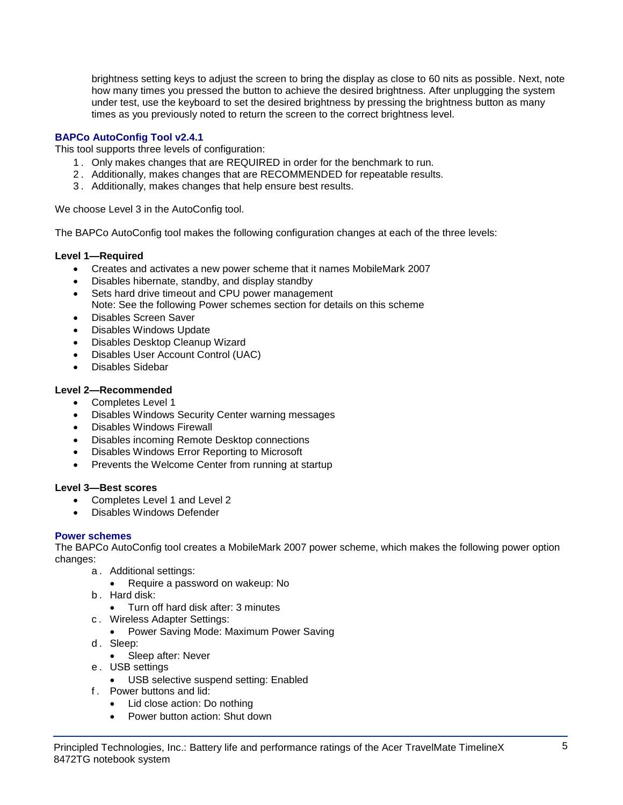brightness setting keys to adjust the screen to bring the display as close to 60 nits as possible. Next, note how many times you pressed the button to achieve the desired brightness. After unplugging the system under test, use the keyboard to set the desired brightness by pressing the brightness button as many times as you previously noted to return the screen to the correct brightness level.

## **BAPCo AutoConfig Tool v2.4.1**

This tool supports three levels of configuration:

- 1 . Only makes changes that are REQUIRED in order for the benchmark to run.
- 2 . Additionally, makes changes that are RECOMMENDED for repeatable results.
- 3 . Additionally, makes changes that help ensure best results.

We choose Level 3 in the AutoConfig tool.

The BAPCo AutoConfig tool makes the following configuration changes at each of the three levels:

## **Level 1—Required**

- Creates and activates a new power scheme that it names MobileMark 2007
- Disables hibernate, standby, and display standby
- Sets hard drive timeout and CPU power management Note: See the following Power schemes section for details on this scheme
- Disables Screen Saver
- Disables Windows Update
- Disables Desktop Cleanup Wizard
- Disables User Account Control (UAC)
- Disables Sidebar

## **Level 2—Recommended**

- Completes Level 1
- Disables Windows Security Center warning messages
- Disables Windows Firewall
- Disables incoming Remote Desktop connections
- Disables Windows Error Reporting to Microsoft
- Prevents the Welcome Center from running at startup

## **Level 3—Best scores**

- Completes Level 1 and Level 2
- Disables Windows Defender

## **Power schemes**

The BAPCo AutoConfig tool creates a MobileMark 2007 power scheme, which makes the following power option changes:

- a . Additional settings:
	- Require a password on wakeup: No
- b . Hard disk:
	- Turn off hard disk after: 3 minutes
- c . Wireless Adapter Settings:
	- Power Saving Mode: Maximum Power Saving
- d. Sleep:
	- Sleep after: Never
- e . USB settings
	- USB selective suspend setting: Enabled
- f . Power buttons and lid:
	- Lid close action: Do nothing
	- Power button action: Shut down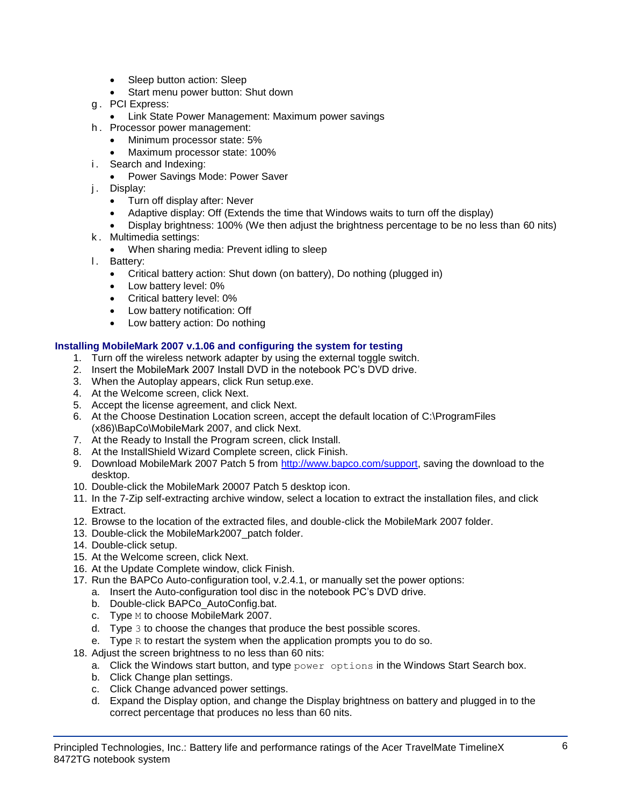- Sleep button action: Sleep
- Start menu power button: Shut down
- g . PCI Express:
	- **Link State Power Management: Maximum power savings**
- h . Processor power management:
	- Minimum processor state: 5%
	- Maximum processor state: 100%
- i. Search and Indexing:
	- Power Savings Mode: Power Saver
- j. Display:
	- Turn off display after: Never
	- Adaptive display: Off (Extends the time that Windows waits to turn off the display)
	- Display brightness: 100% (We then adjust the brightness percentage to be no less than 60 nits)
- k . Multimedia settings:
	- When sharing media: Prevent idling to sleep
- l. Battery:
	- Critical battery action: Shut down (on battery), Do nothing (plugged in)
	- Low battery level: 0%
	- Critical battery level: 0%
	- Low battery notification: Off
	- Low battery action: Do nothing

## **Installing MobileMark 2007 v.1.06 and configuring the system for testing**

- 1. Turn off the wireless network adapter by using the external toggle switch.
- 2. Insert the MobileMark 2007 Install DVD in the notebook PC's DVD drive.
- 3. When the Autoplay appears, click Run setup.exe.
- 4. At the Welcome screen, click Next.
- 5. Accept the license agreement, and click Next.
- 6. At the Choose Destination Location screen, accept the default location of C:\ProgramFiles (x86)\BapCo\MobileMark 2007, and click Next.
- 7. At the Ready to Install the Program screen, click Install.
- 8. At the InstallShield Wizard Complete screen, click Finish.
- 9. Download MobileMark 2007 Patch 5 from [http://www.bapco.com/support,](http://www.bapco.com/support) saving the download to the desktop.
- 10. Double-click the MobileMark 20007 Patch 5 desktop icon.
- 11. In the 7-Zip self-extracting archive window, select a location to extract the installation files, and click Extract.
- 12. Browse to the location of the extracted files, and double-click the MobileMark 2007 folder.
- 13. Double-click the MobileMark2007\_patch folder.
- 14. Double-click setup.
- 15. At the Welcome screen, click Next.
- 16. At the Update Complete window, click Finish.
- 17. Run the BAPCo Auto-configuration tool, v.2.4.1, or manually set the power options:
	- a. Insert the Auto-configuration tool disc in the notebook PC's DVD drive.
	- b. Double-click BAPCo\_AutoConfig.bat.
	- c. Type M to choose MobileMark 2007.
	- d. Type 3 to choose the changes that produce the best possible scores.
	- e. Type  $R$  to restart the system when the application prompts you to do so.
- 18. Adjust the screen brightness to no less than 60 nits:
	- a. Click the Windows start button, and type  $power$  options in the Windows Start Search box.
	- b. Click Change plan settings.
	- c. Click Change advanced power settings.
	- d. Expand the Display option, and change the Display brightness on battery and plugged in to the correct percentage that produces no less than 60 nits.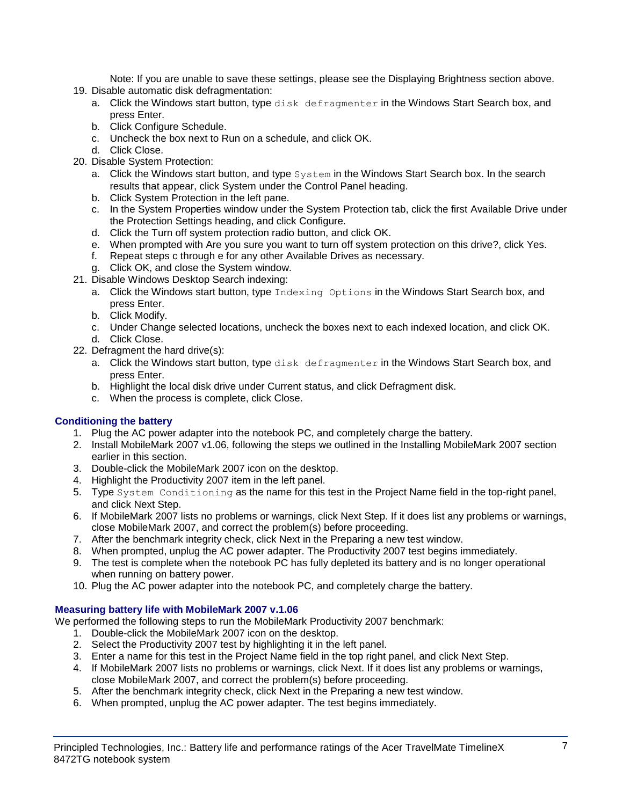Note: If you are unable to save these settings, please see the Displaying Brightness section above.

- 19. Disable automatic disk defragmentation:
	- a. Click the Windows start button, type disk defragmenter in the Windows Start Search box, and press Enter.
	- b. Click Configure Schedule.
	- c. Uncheck the box next to Run on a schedule, and click OK.
	- d. Click Close.
- 20. Disable System Protection:
	- a. Click the Windows start button, and type System in the Windows Start Search box. In the search results that appear, click System under the Control Panel heading.
	- b. Click System Protection in the left pane.
	- c. In the System Properties window under the System Protection tab, click the first Available Drive under the Protection Settings heading, and click Configure.
	- d. Click the Turn off system protection radio button, and click OK.
	- e. When prompted with Are you sure you want to turn off system protection on this drive?, click Yes.
	- f. Repeat steps c through e for any other Available Drives as necessary.
	- g. Click OK, and close the System window.
- 21. Disable Windows Desktop Search indexing:
	- a. Click the Windows start button, type Indexing Options in the Windows Start Search box, and press Enter.
	- b. Click Modify.
	- c. Under Change selected locations, uncheck the boxes next to each indexed location, and click OK. d. Click Close.
- 22. Defragment the hard drive(s):
	- a. Click the Windows start button, type disk defragmenter in the Windows Start Search box, and press Enter.
	- b. Highlight the local disk drive under Current status, and click Defragment disk.
	- c. When the process is complete, click Close.

## **Conditioning the battery**

- 1. Plug the AC power adapter into the notebook PC, and completely charge the battery.
- 2. Install MobileMark 2007 v1.06, following the steps we outlined in the Installing MobileMark 2007 section earlier in this section.
- 3. Double-click the MobileMark 2007 icon on the desktop.
- 4. Highlight the Productivity 2007 item in the left panel.
- 5. Type System Conditioning as the name for this test in the Project Name field in the top-right panel, and click Next Step.
- 6. If MobileMark 2007 lists no problems or warnings, click Next Step. If it does list any problems or warnings, close MobileMark 2007, and correct the problem(s) before proceeding.
- 7. After the benchmark integrity check, click Next in the Preparing a new test window.
- 8. When prompted, unplug the AC power adapter. The Productivity 2007 test begins immediately.
- 9. The test is complete when the notebook PC has fully depleted its battery and is no longer operational when running on battery power.
- 10. Plug the AC power adapter into the notebook PC, and completely charge the battery.

## **Measuring battery life with MobileMark 2007 v.1.06**

We performed the following steps to run the MobileMark Productivity 2007 benchmark:

- 1. Double-click the MobileMark 2007 icon on the desktop.
- 2. Select the Productivity 2007 test by highlighting it in the left panel.
- 3. Enter a name for this test in the Project Name field in the top right panel, and click Next Step.
- 4. If MobileMark 2007 lists no problems or warnings, click Next. If it does list any problems or warnings, close MobileMark 2007, and correct the problem(s) before proceeding.
- 5. After the benchmark integrity check, click Next in the Preparing a new test window.
- 6. When prompted, unplug the AC power adapter. The test begins immediately.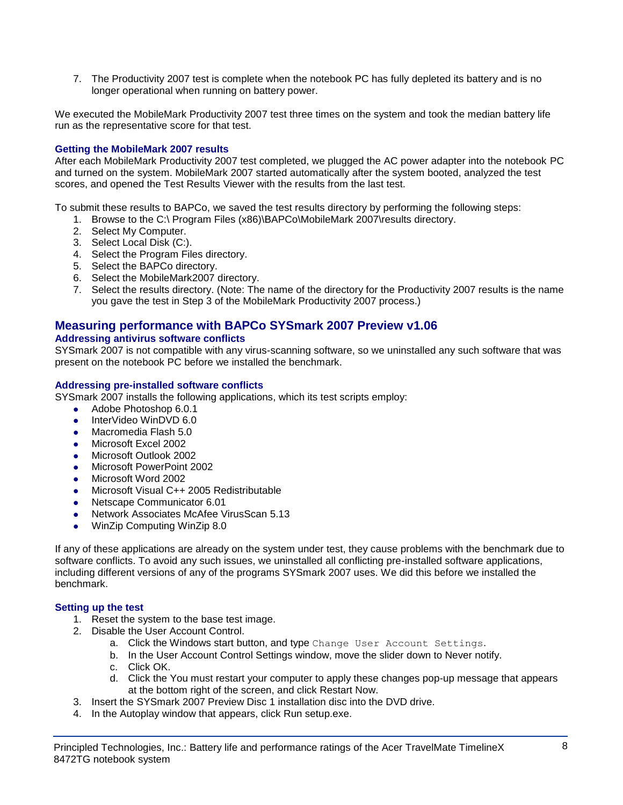7. The Productivity 2007 test is complete when the notebook PC has fully depleted its battery and is no longer operational when running on battery power.

We executed the MobileMark Productivity 2007 test three times on the system and took the median battery life run as the representative score for that test.

## **Getting the MobileMark 2007 results**

After each MobileMark Productivity 2007 test completed, we plugged the AC power adapter into the notebook PC and turned on the system. MobileMark 2007 started automatically after the system booted, analyzed the test scores, and opened the Test Results Viewer with the results from the last test.

To submit these results to BAPCo, we saved the test results directory by performing the following steps:

- 1. Browse to the C:\ Program Files (x86)\BAPCo\MobileMark 2007\results directory.
- 2. Select My Computer.
- 3. Select Local Disk (C:).
- 4. Select the Program Files directory.
- 5. Select the BAPCo directory.
- 6. Select the MobileMark2007 directory.
- 7. Select the results directory. (Note: The name of the directory for the Productivity 2007 results is the name you gave the test in Step 3 of the MobileMark Productivity 2007 process.)

## **Measuring performance with BAPCo SYSmark 2007 Preview v1.06**

#### **Addressing antivirus software conflicts**

SYSmark 2007 is not compatible with any virus-scanning software, so we uninstalled any such software that was present on the notebook PC before we installed the benchmark.

#### **Addressing pre-installed software conflicts**

SYSmark 2007 installs the following applications, which its test scripts employ:

- Adobe Photoshop 6.0.1
- InterVideo WinDVD 6.0
- Macromedia Flash 5.0
- Microsoft Excel 2002
- Microsoft Outlook 2002
- Microsoft PowerPoint 2002
- Microsoft Word 2002
- Microsoft Visual C++ 2005 Redistributable
- Netscape Communicator 6.01
- Network Associates McAfee VirusScan 5.13
- WinZip Computing WinZip 8.0

If any of these applications are already on the system under test, they cause problems with the benchmark due to software conflicts. To avoid any such issues, we uninstalled all conflicting pre-installed software applications, including different versions of any of the programs SYSmark 2007 uses. We did this before we installed the benchmark.

#### **Setting up the test**

- 1. Reset the system to the base test image.
- 2. Disable the User Account Control.
	- a. Click the Windows start button, and type Change User Account Settings.
	- b. In the User Account Control Settings window, move the slider down to Never notify.
	- c. Click OK.
	- d. Click the You must restart your computer to apply these changes pop-up message that appears at the bottom right of the screen, and click Restart Now.
- 3. Insert the SYSmark 2007 Preview Disc 1 installation disc into the DVD drive.
- 4. In the Autoplay window that appears, click Run setup.exe.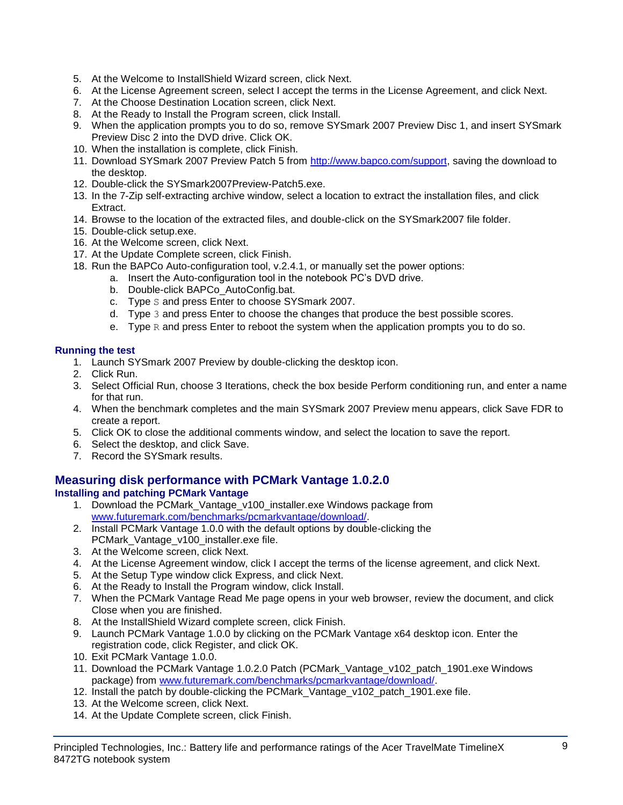- 5. At the Welcome to InstallShield Wizard screen, click Next.
- 6. At the License Agreement screen, select I accept the terms in the License Agreement, and click Next.
- 7. At the Choose Destination Location screen, click Next.
- 8. At the Ready to Install the Program screen, click Install.
- 9. When the application prompts you to do so, remove SYSmark 2007 Preview Disc 1, and insert SYSmark Preview Disc 2 into the DVD drive. Click OK.
- 10. When the installation is complete, click Finish.
- 11. Download SYSmark 2007 Preview Patch 5 from [http://www.bapco.com/support,](http://www.bapco.com/support) saving the download to the desktop.
- 12. Double-click the SYSmark2007Preview-Patch5.exe.
- 13. In the 7-Zip self-extracting archive window, select a location to extract the installation files, and click Extract.
- 14. Browse to the location of the extracted files, and double-click on the SYSmark2007 file folder.
- 15. Double-click setup.exe.
- 16. At the Welcome screen, click Next.
- 17. At the Update Complete screen, click Finish.
- 18. Run the BAPCo Auto-configuration tool, v.2.4.1, or manually set the power options:
	- a. Insert the Auto-configuration tool in the notebook PC's DVD drive.
		- b. Double-click BAPCo\_AutoConfig.bat.
		- c. Type S and press Enter to choose SYSmark 2007.
		- d. Type 3 and press Enter to choose the changes that produce the best possible scores.
		- e. Type  $R$  and press Enter to reboot the system when the application prompts you to do so.

## **Running the test**

- 1. Launch SYSmark 2007 Preview by double-clicking the desktop icon.
- 2. Click Run.
- 3. Select Official Run, choose 3 Iterations, check the box beside Perform conditioning run, and enter a name for that run.
- 4. When the benchmark completes and the main SYSmark 2007 Preview menu appears, click Save FDR to create a report.
- 5. Click OK to close the additional comments window, and select the location to save the report.
- 6. Select the desktop, and click Save.
- 7. Record the SYSmark results.

## **Measuring disk performance with PCMark Vantage 1.0.2.0**

## **Installing and patching PCMark Vantage**

- 1. Download the PCMark\_Vantage\_v100\_installer.exe Windows package from [www.futuremark.com/benchmarks/pcmarkvantage/download/.](http://www.futuremark.com/benchmarks/pcmarkvantage/download/)
- 2. Install PCMark Vantage 1.0.0 with the default options by double-clicking the PCMark\_Vantage\_v100\_installer.exe file.
- 3. At the Welcome screen, click Next.
- 4. At the License Agreement window, click I accept the terms of the license agreement, and click Next.
- 5. At the Setup Type window click Express, and click Next.
- 6. At the Ready to Install the Program window, click Install.
- 7. When the PCMark Vantage Read Me page opens in your web browser, review the document, and click Close when you are finished.
- 8. At the InstallShield Wizard complete screen, click Finish.
- 9. Launch PCMark Vantage 1.0.0 by clicking on the PCMark Vantage x64 desktop icon. Enter the registration code, click Register, and click OK.
- 10. Exit PCMark Vantage 1.0.0.
- 11. Download the PCMark Vantage 1.0.2.0 Patch (PCMark\_Vantage\_v102\_patch\_1901.exe Windows package) from [www.futuremark.com/benchmarks/pcmarkvantage/download/.](http://www.futuremark.com/benchmarks/pcmarkvantage/download/)
- 12. Install the patch by double-clicking the PCMark\_Vantage\_v102\_patch\_1901.exe file.
- 13. At the Welcome screen, click Next.
- 14. At the Update Complete screen, click Finish.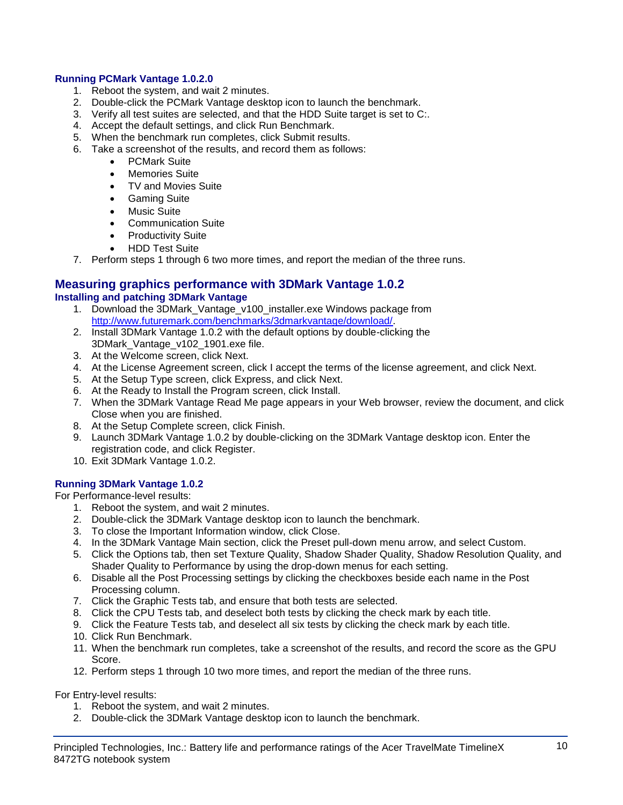## **Running PCMark Vantage 1.0.2.0**

- 1. Reboot the system, and wait 2 minutes.
- 2. Double-click the PCMark Vantage desktop icon to launch the benchmark.
- 3. Verify all test suites are selected, and that the HDD Suite target is set to C:.
- 4. Accept the default settings, and click Run Benchmark.
- 5. When the benchmark run completes, click Submit results.
- 6. Take a screenshot of the results, and record them as follows:
	- PCMark Suite
	- Memories Suite
	- TV and Movies Suite
	- **•** Gaming Suite
	- Music Suite
	- Communication Suite
	- Productivity Suite
	- HDD Test Suite
- 7. Perform steps 1 through 6 two more times, and report the median of the three runs.

#### **Measuring graphics performance with 3DMark Vantage 1.0.2 Installing and patching 3DMark Vantage**

- 1. Download the 3DMark Vantage v100 installer.exe Windows package from [http://www.futuremark.com/benchmarks/3dmarkvantage/download/.](http://www.futuremark.com/benchmarks/3dmarkvantage/download/)
- 2. Install 3DMark Vantage 1.0.2 with the default options by double-clicking the 3DMark\_Vantage\_v102\_1901.exe file.
- 3. At the Welcome screen, click Next.
- 4. At the License Agreement screen, click I accept the terms of the license agreement, and click Next.
- 5. At the Setup Type screen, click Express, and click Next.
- 6. At the Ready to Install the Program screen, click Install.
- 7. When the 3DMark Vantage Read Me page appears in your Web browser, review the document, and click Close when you are finished.
- 8. At the Setup Complete screen, click Finish.
- 9. Launch 3DMark Vantage 1.0.2 by double-clicking on the 3DMark Vantage desktop icon. Enter the registration code, and click Register.
- 10. Exit 3DMark Vantage 1.0.2.

## **Running 3DMark Vantage 1.0.2**

For Performance-level results:

- 1. Reboot the system, and wait 2 minutes.
- 2. Double-click the 3DMark Vantage desktop icon to launch the benchmark.
- 3. To close the Important Information window, click Close.
- 4. In the 3DMark Vantage Main section, click the Preset pull-down menu arrow, and select Custom.
- 5. Click the Options tab, then set Texture Quality, Shadow Shader Quality, Shadow Resolution Quality, and Shader Quality to Performance by using the drop-down menus for each setting.
- 6. Disable all the Post Processing settings by clicking the checkboxes beside each name in the Post Processing column.
- 7. Click the Graphic Tests tab, and ensure that both tests are selected.
- 8. Click the CPU Tests tab, and deselect both tests by clicking the check mark by each title.
- 9. Click the Feature Tests tab, and deselect all six tests by clicking the check mark by each title.
- 10. Click Run Benchmark.
- 11. When the benchmark run completes, take a screenshot of the results, and record the score as the GPU Score.
- 12. Perform steps 1 through 10 two more times, and report the median of the three runs.

For Entry-level results:

- 1. Reboot the system, and wait 2 minutes.
- 2. Double-click the 3DMark Vantage desktop icon to launch the benchmark.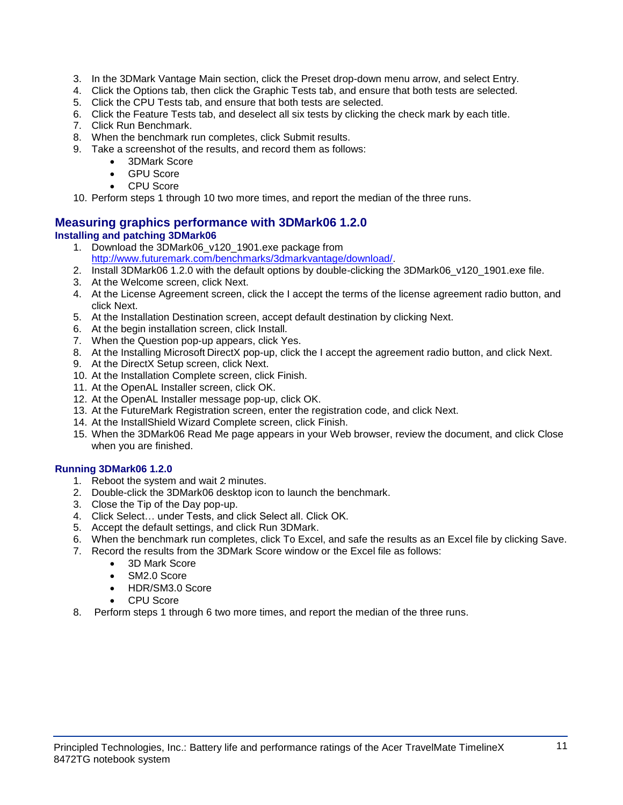- 3. In the 3DMark Vantage Main section, click the Preset drop-down menu arrow, and select Entry.
- 4. Click the Options tab, then click the Graphic Tests tab, and ensure that both tests are selected.
- 5. Click the CPU Tests tab, and ensure that both tests are selected.
- 6. Click the Feature Tests tab, and deselect all six tests by clicking the check mark by each title.
- 7. Click Run Benchmark.
- 8. When the benchmark run completes, click Submit results.
- 9. Take a screenshot of the results, and record them as follows:
	- 3DMark Score
	- GPU Score
	- CPU Score
- 10. Perform steps 1 through 10 two more times, and report the median of the three runs.

## **Measuring graphics performance with 3DMark06 1.2.0 Installing and patching 3DMark06**

- 1. Download the 3DMark06 v120 1901.exe package from [http://www.futuremark.com/benchmarks/3dmarkvantage/download/.](http://www.futuremark.com/benchmarks/3dmarkvantage/download/)
- 2. Install 3DMark06 1.2.0 with the default options by double-clicking the 3DMark06\_v120\_1901.exe file.
- 3. At the Welcome screen, click Next.
- 4. At the License Agreement screen, click the I accept the terms of the license agreement radio button, and click Next.
- 5. At the Installation Destination screen, accept default destination by clicking Next.
- 6. At the begin installation screen, click Install.
- 7. When the Question pop-up appears, click Yes.
- 8. At the Installing Microsoft DirectX pop-up, click the I accept the agreement radio button, and click Next.
- 9. At the DirectX Setup screen, click Next.
- 10. At the Installation Complete screen, click Finish.
- 11. At the OpenAL Installer screen, click OK.
- 12. At the OpenAL Installer message pop-up, click OK.
- 13. At the FutureMark Registration screen, enter the registration code, and click Next.
- 14. At the InstallShield Wizard Complete screen, click Finish.
- 15. When the 3DMark06 Read Me page appears in your Web browser, review the document, and click Close when you are finished.

## **Running 3DMark06 1.2.0**

- 1. Reboot the system and wait 2 minutes.
- 2. Double-click the 3DMark06 desktop icon to launch the benchmark.
- 3. Close the Tip of the Day pop-up.
- 4. Click Select… under Tests, and click Select all. Click OK.
- 5. Accept the default settings, and click Run 3DMark.
- 6. When the benchmark run completes, click To Excel, and safe the results as an Excel file by clicking Save.
- 7. Record the results from the 3DMark Score window or the Excel file as follows:
	- 3D Mark Score
	- SM2.0 Score
	- HDR/SM3.0 Score
	- CPU Score
- 8. Perform steps 1 through 6 two more times, and report the median of the three runs.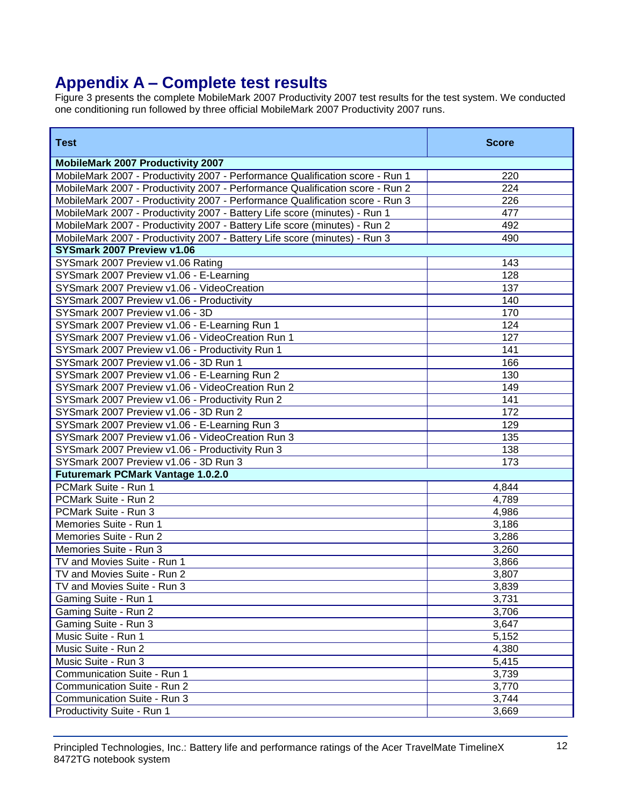# **Appendix A – Complete test results**

Figure 3 presents the complete MobileMark 2007 Productivity 2007 test results for the test system. We conducted one conditioning run followed by three official MobileMark 2007 Productivity 2007 runs.

| <b>Test</b>                                                                   | <b>Score</b> |
|-------------------------------------------------------------------------------|--------------|
| <b>MobileMark 2007 Productivity 2007</b>                                      |              |
| MobileMark 2007 - Productivity 2007 - Performance Qualification score - Run 1 | 220          |
| MobileMark 2007 - Productivity 2007 - Performance Qualification score - Run 2 | 224          |
| MobileMark 2007 - Productivity 2007 - Performance Qualification score - Run 3 | 226          |
| MobileMark 2007 - Productivity 2007 - Battery Life score (minutes) - Run 1    | 477          |
| MobileMark 2007 - Productivity 2007 - Battery Life score (minutes) - Run 2    | 492          |
| MobileMark 2007 - Productivity 2007 - Battery Life score (minutes) - Run 3    | 490          |
| SYSmark 2007 Preview v1.06                                                    |              |
| SYSmark 2007 Preview v1.06 Rating                                             | 143          |
| SYSmark 2007 Preview v1.06 - E-Learning                                       | 128          |
| SYSmark 2007 Preview v1.06 - VideoCreation                                    | 137          |
| SYSmark 2007 Preview v1.06 - Productivity                                     | 140          |
| SYSmark 2007 Preview v1.06 - 3D                                               | 170          |
| SYSmark 2007 Preview v1.06 - E-Learning Run 1                                 | 124          |
| SYSmark 2007 Preview v1.06 - VideoCreation Run 1                              | 127          |
| SYSmark 2007 Preview v1.06 - Productivity Run 1                               | 141          |
| SYSmark 2007 Preview v1.06 - 3D Run 1                                         | 166          |
| SYSmark 2007 Preview v1.06 - E-Learning Run 2                                 | 130          |
| SYSmark 2007 Preview v1.06 - VideoCreation Run 2                              | 149          |
| SYSmark 2007 Preview v1.06 - Productivity Run 2                               | 141          |
| SYSmark 2007 Preview v1.06 - 3D Run 2                                         | 172          |
| SYSmark 2007 Preview v1.06 - E-Learning Run 3                                 | 129          |
| SYSmark 2007 Preview v1.06 - VideoCreation Run 3                              | 135          |
| SYSmark 2007 Preview v1.06 - Productivity Run 3                               | 138          |
| SYSmark 2007 Preview v1.06 - 3D Run 3                                         | 173          |
| <b>Futuremark PCMark Vantage 1.0.2.0</b>                                      |              |
| PCMark Suite - Run 1                                                          | 4,844        |
| PCMark Suite - Run 2                                                          | 4,789        |
| PCMark Suite - Run 3                                                          | 4,986        |
| Memories Suite - Run 1                                                        | 3,186        |
| Memories Suite - Run 2                                                        | 3,286        |
| Memories Suite - Run 3                                                        | 3,260        |
| TV and Movies Suite - Run 1                                                   | 3,866        |
| TV and Movies Suite - Run 2                                                   | 3,807        |
| TV and Movies Suite - Run 3                                                   | 3,839        |
| Gaming Suite - Run 1                                                          | 3,731        |
| Gaming Suite - Run 2                                                          | 3,706        |
| Gaming Suite - Run 3                                                          | 3,647        |
| Music Suite - Run 1                                                           | 5,152        |
| Music Suite - Run 2                                                           | 4,380        |
| Music Suite - Run 3                                                           | 5,415        |
| Communication Suite - Run 1                                                   | 3,739        |
| Communication Suite - Run 2                                                   | 3,770        |
| Communication Suite - Run 3                                                   | 3,744        |
| Productivity Suite - Run 1                                                    | 3,669        |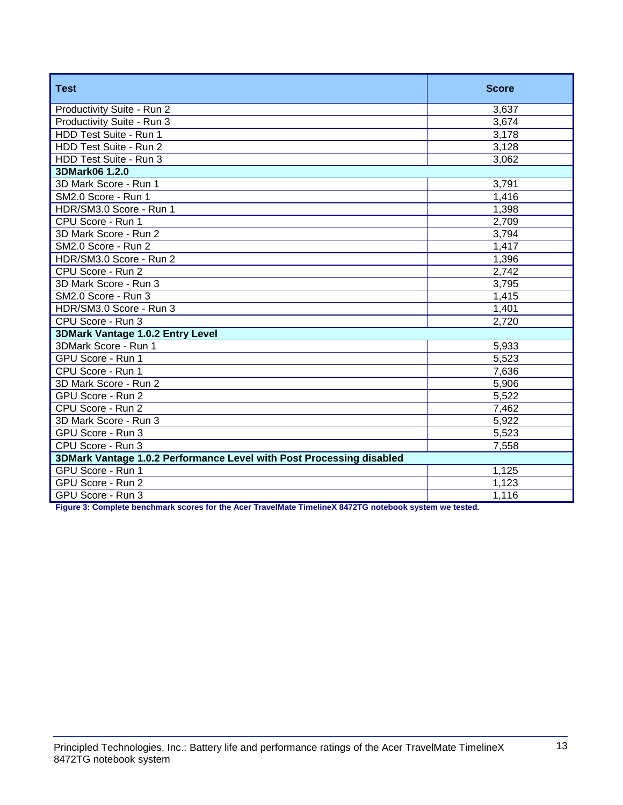| <b>Test</b>                                                          | <b>Score</b> |  |
|----------------------------------------------------------------------|--------------|--|
| Productivity Suite - Run 2                                           | 3,637        |  |
| Productivity Suite - Run 3                                           | 3,674        |  |
| HDD Test Suite - Run 1                                               | 3,178        |  |
| HDD Test Suite - Run 2                                               | 3,128        |  |
| HDD Test Suite - Run 3                                               | 3,062        |  |
| 3DMark06 1.2.0                                                       |              |  |
| 3D Mark Score - Run 1                                                | 3,791        |  |
| SM2.0 Score - Run 1                                                  | 1,416        |  |
| HDR/SM3.0 Score - Run 1                                              | 1,398        |  |
| CPU Score - Run 1                                                    | 2,709        |  |
| 3D Mark Score - Run 2                                                | 3,794        |  |
| SM2.0 Score - Run 2                                                  | 1,417        |  |
| HDR/SM3.0 Score - Run 2                                              | 1,396        |  |
| CPU Score - Run 2                                                    | 2,742        |  |
| 3D Mark Score - Run 3                                                | 3,795        |  |
| SM2.0 Score - Run 3                                                  | 1,415        |  |
| HDR/SM3.0 Score - Run 3                                              | 1,401        |  |
| CPU Score - Run 3                                                    | 2,720        |  |
| 3DMark Vantage 1.0.2 Entry Level                                     |              |  |
| 3DMark Score - Run 1                                                 | 5,933        |  |
| GPU Score - Run 1                                                    | 5,523        |  |
| CPU Score - Run 1                                                    | 7,636        |  |
| 3D Mark Score - Run 2                                                | 5,906        |  |
| GPU Score - Run 2                                                    | 5,522        |  |
| CPU Score - Run 2                                                    | 7,462        |  |
| 3D Mark Score - Run 3                                                | 5,922        |  |
| GPU Score - Run 3                                                    | 5,523        |  |
| CPU Score - Run 3                                                    | 7,558        |  |
| 3DMark Vantage 1.0.2 Performance Level with Post Processing disabled |              |  |
| GPU Score - Run 1                                                    | 1,125        |  |
| GPU Score - Run 2                                                    | 1,123        |  |
| GPU Score - Run 3                                                    | 1,116        |  |

**Figure 3: Complete benchmark scores for the Acer TravelMate TimelineX 8472TG notebook system we tested.**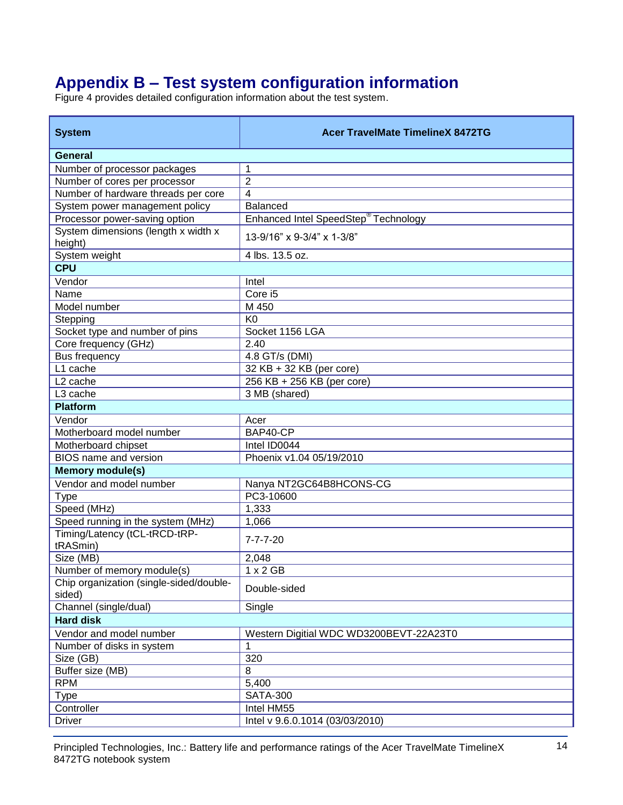# **Appendix B – Test system configuration information**

Figure 4 provides detailed configuration information about the test system.

| <b>System</b>                                     | <b>Acer TravelMate TimelineX 8472TG</b>          |
|---------------------------------------------------|--------------------------------------------------|
| General                                           |                                                  |
| Number of processor packages                      | 1                                                |
| Number of cores per processor                     | $\overline{2}$                                   |
| Number of hardware threads per core               | $\overline{\mathbf{4}}$                          |
| System power management policy                    | <b>Balanced</b>                                  |
| Processor power-saving option                     | Enhanced Intel SpeedStep <sup>®</sup> Technology |
| System dimensions (length x width x<br>height)    | 13-9/16" x 9-3/4" x 1-3/8"                       |
| System weight                                     | 4 lbs. 13.5 oz.                                  |
| <b>CPU</b>                                        |                                                  |
| Vendor                                            | Intel                                            |
| Name                                              | Core i5                                          |
| Model number                                      | M 450                                            |
| Stepping                                          | K <sub>0</sub>                                   |
| Socket type and number of pins                    | Socket 1156 LGA                                  |
| Core frequency (GHz)                              | 2.40                                             |
| <b>Bus frequency</b>                              | 4.8 GT/s (DMI)                                   |
| L1 cache                                          | 32 KB + 32 KB (per core)                         |
| L <sub>2</sub> cache                              | 256 KB + 256 KB (per core)                       |
| L <sub>3</sub> cache                              | 3 MB (shared)                                    |
| <b>Platform</b>                                   |                                                  |
| Vendor                                            | Acer                                             |
| Motherboard model number                          | BAP40-CP                                         |
| Motherboard chipset                               | Intel ID0044                                     |
| <b>BIOS</b> name and version                      | Phoenix v1.04 05/19/2010                         |
| <b>Memory module(s)</b>                           |                                                  |
| Vendor and model number                           | Nanya NT2GC64B8HCONS-CG                          |
| <b>Type</b>                                       | PC3-10600                                        |
| Speed (MHz)                                       | 1,333                                            |
| Speed running in the system (MHz)                 | 1,066                                            |
| Timing/Latency (tCL-tRCD-tRP-<br>tRASmin)         | $7 - 7 - 7 - 20$                                 |
| Size (MB)                                         | 2,048                                            |
| Number of memory module(s)                        | $1 \times 2$ GB                                  |
| Chip organization (single-sided/double-<br>sided) | Double-sided                                     |
| Channel (single/dual)                             | Single                                           |
| <b>Hard disk</b>                                  |                                                  |
| Vendor and model number                           | Western Digitial WDC WD3200BEVT-22A23T0          |
| Number of disks in system                         | 1                                                |
| Size (GB)                                         | 320                                              |
| Buffer size (MB)                                  | 8                                                |
| <b>RPM</b>                                        | 5,400                                            |
| <b>Type</b>                                       | <b>SATA-300</b>                                  |
| Controller                                        | Intel HM55                                       |
| <b>Driver</b>                                     | Intel v 9.6.0.1014 (03/03/2010)                  |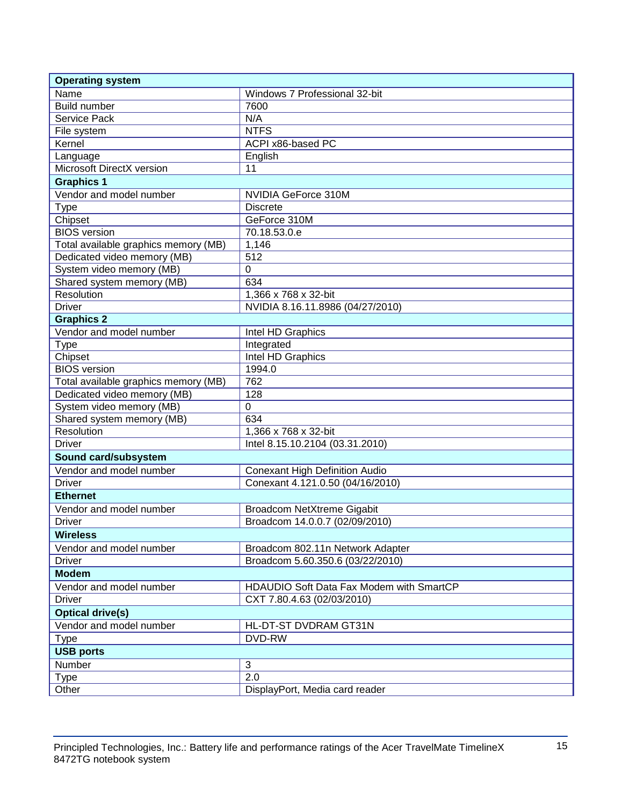| Name<br>Windows 7 Professional 32-bit<br><b>Build number</b><br>7600<br>N/A<br>Service Pack<br><b>NTFS</b><br>File system<br>Kernel<br>ACPI x86-based PC<br>English<br>Language<br>Microsoft DirectX version<br>11<br><b>Graphics 1</b><br>Vendor and model number<br>NVIDIA GeForce 310M<br><b>Discrete</b><br><b>Type</b><br>Chipset<br>GeForce 310M<br><b>BIOS</b> version<br>70.18.53.0.e<br>Total available graphics memory (MB)<br>1,146<br>512<br>Dedicated video memory (MB)<br>System video memory (MB)<br>$\boldsymbol{0}$<br>Shared system memory (MB)<br>634<br>Resolution<br>1,366 x 768 x 32-bit<br><b>Driver</b><br>NVIDIA 8.16.11.8986 (04/27/2010)<br><b>Graphics 2</b><br>Vendor and model number<br>Intel HD Graphics<br><b>Type</b><br>Integrated<br>Chipset<br>Intel HD Graphics<br><b>BIOS</b> version<br>1994.0<br>Total available graphics memory (MB)<br>762<br>Dedicated video memory (MB)<br>128<br>System video memory (MB)<br>$\mathbf 0$<br>Shared system memory (MB)<br>634<br>Resolution<br>1,366 x 768 x 32-bit<br><b>Driver</b><br>Intel 8.15.10.2104 (03.31.2010)<br>Sound card/subsystem<br>Vendor and model number<br><b>Conexant High Definition Audio</b><br><b>Driver</b><br>Conexant 4.121.0.50 (04/16/2010)<br><b>Ethernet</b><br>Vendor and model number<br>Broadcom NetXtreme Gigabit<br>Broadcom 14.0.0.7 (02/09/2010)<br><b>Driver</b><br><b>Wireless</b><br>Vendor and model number<br>Broadcom 802.11n Network Adapter<br><b>Driver</b><br>Broadcom 5.60.350.6 (03/22/2010)<br><b>Modem</b><br>HDAUDIO Soft Data Fax Modem with SmartCP<br>Vendor and model number<br><b>Driver</b><br>CXT 7.80.4.63 (02/03/2010)<br><b>Optical drive(s)</b><br>Vendor and model number<br>HL-DT-ST DVDRAM GT31N<br><b>DVD-RW</b><br><b>Type</b><br><b>USB ports</b><br>3<br>Number<br>$\overline{2.0}$<br>Type | <b>Operating system</b> |                                |  |
|-------------------------------------------------------------------------------------------------------------------------------------------------------------------------------------------------------------------------------------------------------------------------------------------------------------------------------------------------------------------------------------------------------------------------------------------------------------------------------------------------------------------------------------------------------------------------------------------------------------------------------------------------------------------------------------------------------------------------------------------------------------------------------------------------------------------------------------------------------------------------------------------------------------------------------------------------------------------------------------------------------------------------------------------------------------------------------------------------------------------------------------------------------------------------------------------------------------------------------------------------------------------------------------------------------------------------------------------------------------------------------------------------------------------------------------------------------------------------------------------------------------------------------------------------------------------------------------------------------------------------------------------------------------------------------------------------------------------------------------------------------------------------------------------------------------------------------------------------|-------------------------|--------------------------------|--|
|                                                                                                                                                                                                                                                                                                                                                                                                                                                                                                                                                                                                                                                                                                                                                                                                                                                                                                                                                                                                                                                                                                                                                                                                                                                                                                                                                                                                                                                                                                                                                                                                                                                                                                                                                                                                                                                 |                         |                                |  |
|                                                                                                                                                                                                                                                                                                                                                                                                                                                                                                                                                                                                                                                                                                                                                                                                                                                                                                                                                                                                                                                                                                                                                                                                                                                                                                                                                                                                                                                                                                                                                                                                                                                                                                                                                                                                                                                 |                         |                                |  |
|                                                                                                                                                                                                                                                                                                                                                                                                                                                                                                                                                                                                                                                                                                                                                                                                                                                                                                                                                                                                                                                                                                                                                                                                                                                                                                                                                                                                                                                                                                                                                                                                                                                                                                                                                                                                                                                 |                         |                                |  |
|                                                                                                                                                                                                                                                                                                                                                                                                                                                                                                                                                                                                                                                                                                                                                                                                                                                                                                                                                                                                                                                                                                                                                                                                                                                                                                                                                                                                                                                                                                                                                                                                                                                                                                                                                                                                                                                 |                         |                                |  |
|                                                                                                                                                                                                                                                                                                                                                                                                                                                                                                                                                                                                                                                                                                                                                                                                                                                                                                                                                                                                                                                                                                                                                                                                                                                                                                                                                                                                                                                                                                                                                                                                                                                                                                                                                                                                                                                 |                         |                                |  |
|                                                                                                                                                                                                                                                                                                                                                                                                                                                                                                                                                                                                                                                                                                                                                                                                                                                                                                                                                                                                                                                                                                                                                                                                                                                                                                                                                                                                                                                                                                                                                                                                                                                                                                                                                                                                                                                 |                         |                                |  |
|                                                                                                                                                                                                                                                                                                                                                                                                                                                                                                                                                                                                                                                                                                                                                                                                                                                                                                                                                                                                                                                                                                                                                                                                                                                                                                                                                                                                                                                                                                                                                                                                                                                                                                                                                                                                                                                 |                         |                                |  |
|                                                                                                                                                                                                                                                                                                                                                                                                                                                                                                                                                                                                                                                                                                                                                                                                                                                                                                                                                                                                                                                                                                                                                                                                                                                                                                                                                                                                                                                                                                                                                                                                                                                                                                                                                                                                                                                 |                         |                                |  |
|                                                                                                                                                                                                                                                                                                                                                                                                                                                                                                                                                                                                                                                                                                                                                                                                                                                                                                                                                                                                                                                                                                                                                                                                                                                                                                                                                                                                                                                                                                                                                                                                                                                                                                                                                                                                                                                 |                         |                                |  |
|                                                                                                                                                                                                                                                                                                                                                                                                                                                                                                                                                                                                                                                                                                                                                                                                                                                                                                                                                                                                                                                                                                                                                                                                                                                                                                                                                                                                                                                                                                                                                                                                                                                                                                                                                                                                                                                 |                         |                                |  |
|                                                                                                                                                                                                                                                                                                                                                                                                                                                                                                                                                                                                                                                                                                                                                                                                                                                                                                                                                                                                                                                                                                                                                                                                                                                                                                                                                                                                                                                                                                                                                                                                                                                                                                                                                                                                                                                 |                         |                                |  |
|                                                                                                                                                                                                                                                                                                                                                                                                                                                                                                                                                                                                                                                                                                                                                                                                                                                                                                                                                                                                                                                                                                                                                                                                                                                                                                                                                                                                                                                                                                                                                                                                                                                                                                                                                                                                                                                 |                         |                                |  |
|                                                                                                                                                                                                                                                                                                                                                                                                                                                                                                                                                                                                                                                                                                                                                                                                                                                                                                                                                                                                                                                                                                                                                                                                                                                                                                                                                                                                                                                                                                                                                                                                                                                                                                                                                                                                                                                 |                         |                                |  |
|                                                                                                                                                                                                                                                                                                                                                                                                                                                                                                                                                                                                                                                                                                                                                                                                                                                                                                                                                                                                                                                                                                                                                                                                                                                                                                                                                                                                                                                                                                                                                                                                                                                                                                                                                                                                                                                 |                         |                                |  |
|                                                                                                                                                                                                                                                                                                                                                                                                                                                                                                                                                                                                                                                                                                                                                                                                                                                                                                                                                                                                                                                                                                                                                                                                                                                                                                                                                                                                                                                                                                                                                                                                                                                                                                                                                                                                                                                 |                         |                                |  |
|                                                                                                                                                                                                                                                                                                                                                                                                                                                                                                                                                                                                                                                                                                                                                                                                                                                                                                                                                                                                                                                                                                                                                                                                                                                                                                                                                                                                                                                                                                                                                                                                                                                                                                                                                                                                                                                 |                         |                                |  |
|                                                                                                                                                                                                                                                                                                                                                                                                                                                                                                                                                                                                                                                                                                                                                                                                                                                                                                                                                                                                                                                                                                                                                                                                                                                                                                                                                                                                                                                                                                                                                                                                                                                                                                                                                                                                                                                 |                         |                                |  |
|                                                                                                                                                                                                                                                                                                                                                                                                                                                                                                                                                                                                                                                                                                                                                                                                                                                                                                                                                                                                                                                                                                                                                                                                                                                                                                                                                                                                                                                                                                                                                                                                                                                                                                                                                                                                                                                 |                         |                                |  |
|                                                                                                                                                                                                                                                                                                                                                                                                                                                                                                                                                                                                                                                                                                                                                                                                                                                                                                                                                                                                                                                                                                                                                                                                                                                                                                                                                                                                                                                                                                                                                                                                                                                                                                                                                                                                                                                 |                         |                                |  |
|                                                                                                                                                                                                                                                                                                                                                                                                                                                                                                                                                                                                                                                                                                                                                                                                                                                                                                                                                                                                                                                                                                                                                                                                                                                                                                                                                                                                                                                                                                                                                                                                                                                                                                                                                                                                                                                 |                         |                                |  |
|                                                                                                                                                                                                                                                                                                                                                                                                                                                                                                                                                                                                                                                                                                                                                                                                                                                                                                                                                                                                                                                                                                                                                                                                                                                                                                                                                                                                                                                                                                                                                                                                                                                                                                                                                                                                                                                 |                         |                                |  |
|                                                                                                                                                                                                                                                                                                                                                                                                                                                                                                                                                                                                                                                                                                                                                                                                                                                                                                                                                                                                                                                                                                                                                                                                                                                                                                                                                                                                                                                                                                                                                                                                                                                                                                                                                                                                                                                 |                         |                                |  |
|                                                                                                                                                                                                                                                                                                                                                                                                                                                                                                                                                                                                                                                                                                                                                                                                                                                                                                                                                                                                                                                                                                                                                                                                                                                                                                                                                                                                                                                                                                                                                                                                                                                                                                                                                                                                                                                 |                         |                                |  |
|                                                                                                                                                                                                                                                                                                                                                                                                                                                                                                                                                                                                                                                                                                                                                                                                                                                                                                                                                                                                                                                                                                                                                                                                                                                                                                                                                                                                                                                                                                                                                                                                                                                                                                                                                                                                                                                 |                         |                                |  |
|                                                                                                                                                                                                                                                                                                                                                                                                                                                                                                                                                                                                                                                                                                                                                                                                                                                                                                                                                                                                                                                                                                                                                                                                                                                                                                                                                                                                                                                                                                                                                                                                                                                                                                                                                                                                                                                 |                         |                                |  |
|                                                                                                                                                                                                                                                                                                                                                                                                                                                                                                                                                                                                                                                                                                                                                                                                                                                                                                                                                                                                                                                                                                                                                                                                                                                                                                                                                                                                                                                                                                                                                                                                                                                                                                                                                                                                                                                 |                         |                                |  |
|                                                                                                                                                                                                                                                                                                                                                                                                                                                                                                                                                                                                                                                                                                                                                                                                                                                                                                                                                                                                                                                                                                                                                                                                                                                                                                                                                                                                                                                                                                                                                                                                                                                                                                                                                                                                                                                 |                         |                                |  |
|                                                                                                                                                                                                                                                                                                                                                                                                                                                                                                                                                                                                                                                                                                                                                                                                                                                                                                                                                                                                                                                                                                                                                                                                                                                                                                                                                                                                                                                                                                                                                                                                                                                                                                                                                                                                                                                 |                         |                                |  |
|                                                                                                                                                                                                                                                                                                                                                                                                                                                                                                                                                                                                                                                                                                                                                                                                                                                                                                                                                                                                                                                                                                                                                                                                                                                                                                                                                                                                                                                                                                                                                                                                                                                                                                                                                                                                                                                 |                         |                                |  |
|                                                                                                                                                                                                                                                                                                                                                                                                                                                                                                                                                                                                                                                                                                                                                                                                                                                                                                                                                                                                                                                                                                                                                                                                                                                                                                                                                                                                                                                                                                                                                                                                                                                                                                                                                                                                                                                 |                         |                                |  |
|                                                                                                                                                                                                                                                                                                                                                                                                                                                                                                                                                                                                                                                                                                                                                                                                                                                                                                                                                                                                                                                                                                                                                                                                                                                                                                                                                                                                                                                                                                                                                                                                                                                                                                                                                                                                                                                 |                         |                                |  |
|                                                                                                                                                                                                                                                                                                                                                                                                                                                                                                                                                                                                                                                                                                                                                                                                                                                                                                                                                                                                                                                                                                                                                                                                                                                                                                                                                                                                                                                                                                                                                                                                                                                                                                                                                                                                                                                 |                         |                                |  |
|                                                                                                                                                                                                                                                                                                                                                                                                                                                                                                                                                                                                                                                                                                                                                                                                                                                                                                                                                                                                                                                                                                                                                                                                                                                                                                                                                                                                                                                                                                                                                                                                                                                                                                                                                                                                                                                 |                         |                                |  |
|                                                                                                                                                                                                                                                                                                                                                                                                                                                                                                                                                                                                                                                                                                                                                                                                                                                                                                                                                                                                                                                                                                                                                                                                                                                                                                                                                                                                                                                                                                                                                                                                                                                                                                                                                                                                                                                 |                         |                                |  |
|                                                                                                                                                                                                                                                                                                                                                                                                                                                                                                                                                                                                                                                                                                                                                                                                                                                                                                                                                                                                                                                                                                                                                                                                                                                                                                                                                                                                                                                                                                                                                                                                                                                                                                                                                                                                                                                 |                         |                                |  |
|                                                                                                                                                                                                                                                                                                                                                                                                                                                                                                                                                                                                                                                                                                                                                                                                                                                                                                                                                                                                                                                                                                                                                                                                                                                                                                                                                                                                                                                                                                                                                                                                                                                                                                                                                                                                                                                 |                         |                                |  |
|                                                                                                                                                                                                                                                                                                                                                                                                                                                                                                                                                                                                                                                                                                                                                                                                                                                                                                                                                                                                                                                                                                                                                                                                                                                                                                                                                                                                                                                                                                                                                                                                                                                                                                                                                                                                                                                 |                         |                                |  |
|                                                                                                                                                                                                                                                                                                                                                                                                                                                                                                                                                                                                                                                                                                                                                                                                                                                                                                                                                                                                                                                                                                                                                                                                                                                                                                                                                                                                                                                                                                                                                                                                                                                                                                                                                                                                                                                 |                         |                                |  |
|                                                                                                                                                                                                                                                                                                                                                                                                                                                                                                                                                                                                                                                                                                                                                                                                                                                                                                                                                                                                                                                                                                                                                                                                                                                                                                                                                                                                                                                                                                                                                                                                                                                                                                                                                                                                                                                 |                         |                                |  |
|                                                                                                                                                                                                                                                                                                                                                                                                                                                                                                                                                                                                                                                                                                                                                                                                                                                                                                                                                                                                                                                                                                                                                                                                                                                                                                                                                                                                                                                                                                                                                                                                                                                                                                                                                                                                                                                 |                         |                                |  |
|                                                                                                                                                                                                                                                                                                                                                                                                                                                                                                                                                                                                                                                                                                                                                                                                                                                                                                                                                                                                                                                                                                                                                                                                                                                                                                                                                                                                                                                                                                                                                                                                                                                                                                                                                                                                                                                 |                         |                                |  |
|                                                                                                                                                                                                                                                                                                                                                                                                                                                                                                                                                                                                                                                                                                                                                                                                                                                                                                                                                                                                                                                                                                                                                                                                                                                                                                                                                                                                                                                                                                                                                                                                                                                                                                                                                                                                                                                 |                         |                                |  |
|                                                                                                                                                                                                                                                                                                                                                                                                                                                                                                                                                                                                                                                                                                                                                                                                                                                                                                                                                                                                                                                                                                                                                                                                                                                                                                                                                                                                                                                                                                                                                                                                                                                                                                                                                                                                                                                 |                         |                                |  |
|                                                                                                                                                                                                                                                                                                                                                                                                                                                                                                                                                                                                                                                                                                                                                                                                                                                                                                                                                                                                                                                                                                                                                                                                                                                                                                                                                                                                                                                                                                                                                                                                                                                                                                                                                                                                                                                 |                         |                                |  |
|                                                                                                                                                                                                                                                                                                                                                                                                                                                                                                                                                                                                                                                                                                                                                                                                                                                                                                                                                                                                                                                                                                                                                                                                                                                                                                                                                                                                                                                                                                                                                                                                                                                                                                                                                                                                                                                 |                         |                                |  |
|                                                                                                                                                                                                                                                                                                                                                                                                                                                                                                                                                                                                                                                                                                                                                                                                                                                                                                                                                                                                                                                                                                                                                                                                                                                                                                                                                                                                                                                                                                                                                                                                                                                                                                                                                                                                                                                 |                         |                                |  |
|                                                                                                                                                                                                                                                                                                                                                                                                                                                                                                                                                                                                                                                                                                                                                                                                                                                                                                                                                                                                                                                                                                                                                                                                                                                                                                                                                                                                                                                                                                                                                                                                                                                                                                                                                                                                                                                 |                         |                                |  |
|                                                                                                                                                                                                                                                                                                                                                                                                                                                                                                                                                                                                                                                                                                                                                                                                                                                                                                                                                                                                                                                                                                                                                                                                                                                                                                                                                                                                                                                                                                                                                                                                                                                                                                                                                                                                                                                 | Other                   | DisplayPort, Media card reader |  |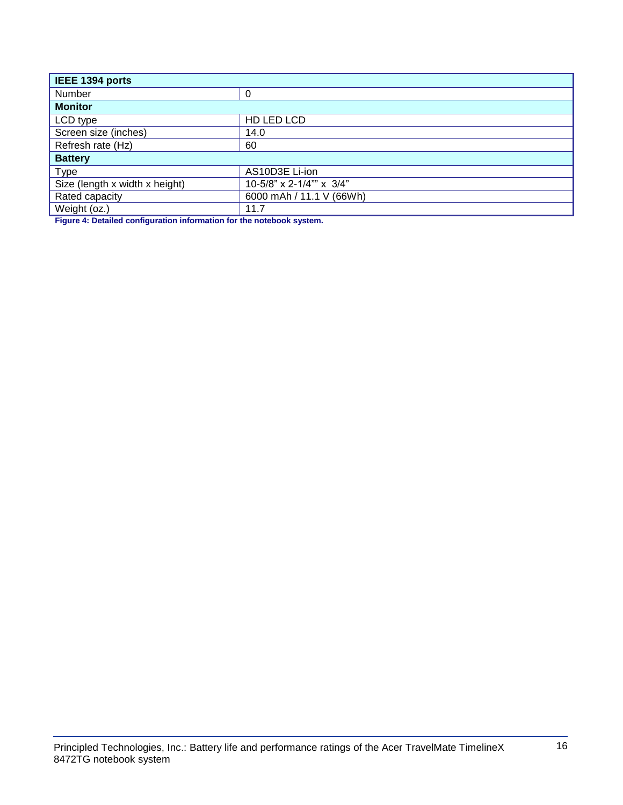| IEEE 1394 ports                |                          |  |
|--------------------------------|--------------------------|--|
| Number                         | 0                        |  |
| <b>Monitor</b>                 |                          |  |
| LCD type                       | HD LED LCD               |  |
| Screen size (inches)           | 14.0                     |  |
| Refresh rate (Hz)              | 60                       |  |
| <b>Battery</b>                 |                          |  |
| <b>Type</b>                    | AS10D3E Li-ion           |  |
| Size (length x width x height) | 10-5/8" x 2-1/4"" x 3/4" |  |
| Rated capacity                 | 6000 mAh / 11.1 V (66Wh) |  |
| Weight (oz.)                   | 11.7                     |  |

**Figure 4: Detailed configuration information for the notebook system.**